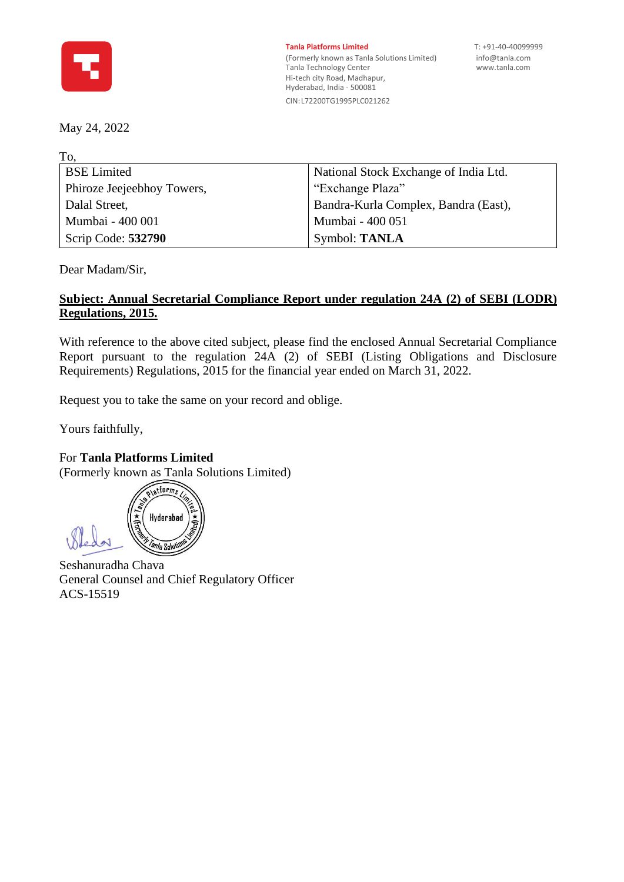

**Tanla Platforms Limited** T: +91-40-40099999 (Formerly known as Tanla Solutions Limited) [info@tanla.com](mailto:info@tanla.com)<br>Tanla Technology Center info@tanla.com Tanla Technology Center Hi-tech city Road, Madhapur, Hyderabad, India - 500081 CIN:L72200TG1995PLC021262

## May 24, 2022

| To, |                            |                                       |
|-----|----------------------------|---------------------------------------|
|     | <b>BSE</b> Limited         | National Stock Exchange of India Ltd. |
|     | Phiroze Jeejeebhoy Towers, | "Exchange Plaza"                      |
|     | Dalal Street,              | Bandra-Kurla Complex, Bandra (East),  |
|     | Mumbai - 400 001           | Mumbai - 400 051                      |
|     | Scrip Code: 532790         | Symbol: TANLA                         |
|     |                            |                                       |

Dear Madam/Sir,

## **Subject: Annual Secretarial Compliance Report under regulation 24A (2) of SEBI (LODR) Regulations, 2015.**

With reference to the above cited subject, please find the enclosed Annual Secretarial Compliance Report pursuant to the regulation 24A (2) of SEBI (Listing Obligations and Disclosure Requirements) Regulations, 2015 for the financial year ended on March 31, 2022.

Request you to take the same on your record and oblige.

Yours faithfully,

## For **Tanla Platforms Limited**

(Formerly known as Tanla Solutions Limited)

alatiorms Hyderabad *nla Solut* 

Seshanuradha Chava General Counsel and Chief Regulatory Officer ACS-15519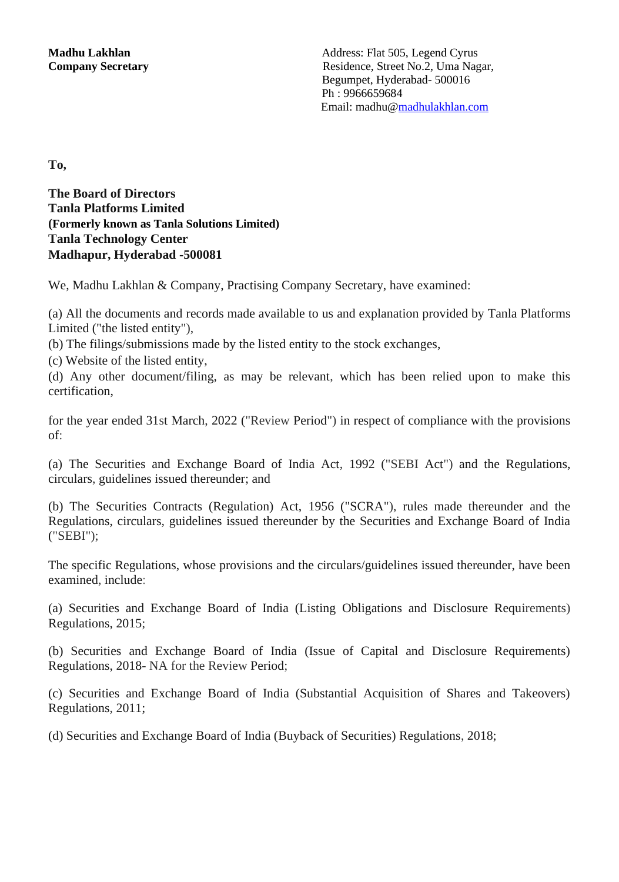**To,** 

**The Board of Directors Tanla Platforms Limited (Formerly known as Tanla Solutions Limited) Tanla Technology Center Madhapur, Hyderabad -500081** 

We, Madhu Lakhlan & Company, Practising Company Secretary, have examined:

(a) All the documents and records made available to us and explanation provided by Tanla Platforms Limited ("the listed entity"),

(b) The filings/submissions made by the listed entity to the stock exchanges,

(c) Website of the listed entity,

(d) Any other document/filing, as may be relevant, which has been relied upon to make this certification,

for the year ended 31st March, 2022 ("Review Period") in respect of compliance with the provisions of:

(a) The Securities and Exchange Board of India Act, 1992 ("SEBI Act") and the Regulations, circulars, guidelines issued thereunder; and

(b) The Securities Contracts (Regulation) Act, 1956 ("SCRA"), rules made thereunder and the Regulations, circulars, guidelines issued thereunder by the Securities and Exchange Board of India ("SEBI");

The specific Regulations, whose provisions and the circulars/guidelines issued thereunder, have been examined, include:

(a) Securities and Exchange Board of India (Listing Obligations and Disclosure Requirements) Regulations, 2015;

(b) Securities and Exchange Board of India (Issue of Capital and Disclosure Requirements) Regulations, 2018- NA for the Review Period;

(c) Securities and Exchange Board of India (Substantial Acquisition of Shares and Takeovers) Regulations, 2011;

(d) Securities and Exchange Board of India (Buyback of Securities) Regulations, 2018;